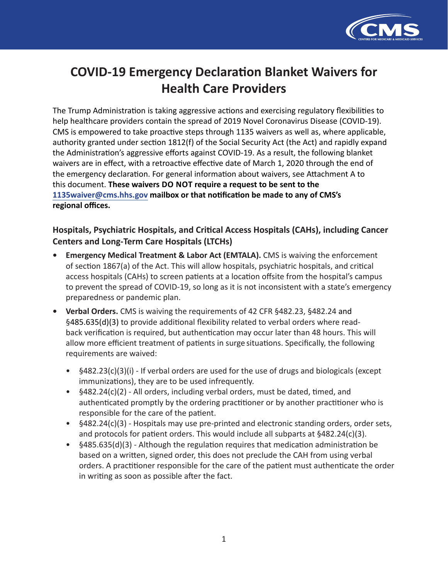

# **COVID-19 Emergency Declaration Blanket Waivers for Health Care Providers**

The Trump Administration is taking aggressive actions and exercising regulatory flexibilities to help healthcare providers contain the spread of 2019 Novel Coronavirus Disease (COVID-19). CMS is empowered to take proactive steps through 1135 waivers as well as, where applicable, authority granted under section 1812(f) of the Social Security Act (the Act) and rapidly expand the Administration's aggressive efforts against COVID-19. As a result, the following blanket waivers are in effect, with a retroactive effective date of March 1, 2020 through the end of the emergency declaration. For general information about waivers, see Attachment A to this document. **These waivers DO NOT require a request to be sent to the [1135waiver@cms.hhs.gov](mailto:1135waiver@cms.hhs.gov) mailbox or that notification be made to any of CMS's regional offices.**

## **Hospitals, Psychiatric Hospitals, and Critical Access Hospitals (CAHs), including Cancer Centers and Long-Term Care Hospitals (LTCHs)**

- **• Emergency Medical Treatment & Labor Act (EMTALA).** CMS is waiving the enforcement of section 1867(a) of the Act. This will allow hospitals, psychiatric hospitals, and critical access hospitals (CAHs) to screen patients at a location offsite from the hospital's campus to prevent the spread of COVID-19, so long as it is not inconsistent with a state's emergency preparedness or pandemic plan.
- **• Verbal Orders.** CMS is waiving the requirements of 42 CFR §482.23, §482.24 and §485.635(d)(3) to provide additional flexibility related to verbal orders where readback verification is required, but authentication may occur later than 48 hours. This will allow more efficient treatment of patients in surge situations. Specifically, the following requirements are waived:
	- §482.23(c)(3)(i) If verbal orders are used for the use of drugs and biologicals (except immunizations), they are to be used infrequently.
	- §482.24(c)(2) All orders, including verbal orders, must be dated, timed, and authenticated promptly by the ordering practitioner or by another practitioner who is responsible for the care of the patient.
	- §482.24(c)(3) Hospitals may use pre-printed and electronic standing orders, order sets, and protocols for patient orders. This would include all subparts at  $§482.24(c)(3)$ .
	- §485.635(d)(3) Although the regulation requires that medication administration be based on a written, signed order, this does not preclude the CAH from using verbal orders. A practitioner responsible for the care of the patient must authenticate the order in writing as soon as possible after the fact.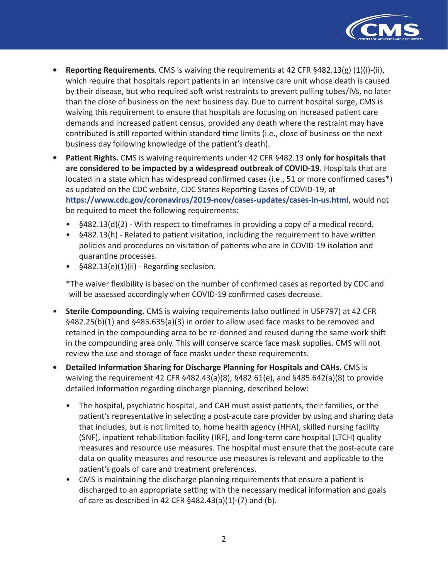

- **Reporting Requirements**. CMS is waiving the requirements at 42 CFR §482.13(g) (1)(i)-(ii), which require that hospitals report patients in an intensive care unit whose death is caused by their disease, but who required soft wrist restraints to prevent pulling tubes/IVs, no later than the close of business on the next business day. Due to current hospital surge, CMS is waiving this requirement to ensure that hospitals are focusing on increased patient care demands and increased patient census, provided any death where the restraint may have contributed is still reported within standard time limits (i.e., close of business on the next business day following knowledge of the patient's death).
- **Patient Rights.** CMS is waiving requirements under 42 CFR §482.13 **only for hospitals that are considered to be impacted by a widespread outbreak of COVID-19**. Hospitals that are located in a state which has widespread confirmed cases (i.e., 51 or more confirmed cases\*) as updated on the CDC website, CDC States Reporting Cases of COVID-19, at **<https://www.cdc.gov/coronavirus/2019-ncov/cases-updates/cases-in-us.html>**, would not be required to meet the following requirements:
	- §482.13(d)(2) With respect to timeframes in providing a copy of a medical record.
	- §482.13(h) Related to patient visitation, including the requirement to have written policies and procedures on visitation of patients who are in COVID-19 isolation and quarantine processes.
	- §482.13(e)(1)(ii) Regarding seclusion.

\*The waiver flexibility is based on the number of confirmed cases as reported by CDC and will be assessed accordingly when COVID-19 confirmed cases decrease.

- **Sterile Compounding.** CMS is waiving requirements (also outlined in USP797) at 42 CFR §482.25(b)(1) and §485.635(a)(3) in order to allow used face masks to be removed and retained in the compounding area to be re-donned and reused during the same work shift in the compounding area only. This will conserve scarce face mask supplies. CMS will not review the use and storage of face masks under these requirements.
- **Detailed Information Sharing for Discharge Planning for Hospitals and CAHs.** CMS is waiving the requirement 42 CFR §482.43(a)(8), §482.61(e), and §485.642(a)(8) to provide detailed information regarding discharge planning, described below:
	- The hospital, psychiatric hospital, and CAH must assist patients, their families, or the patient's representative in selecting a post-acute care provider by using and sharing data that includes, but is not limited to, home health agency (HHA), skilled nursing facility (SNF), inpatient rehabilitation facility (IRF), and long-term care hospital (LTCH) quality measures and resource use measures. The hospital must ensure that the post-acute care data on quality measures and resource use measures is relevant and applicable to the patient's goals of care and treatment preferences.
	- CMS is maintaining the discharge planning requirements that ensure a patient is discharged to an appropriate setting with the necessary medical information and goals of care as described in 42 CFR §482.43(a)(1)-(7) and (b).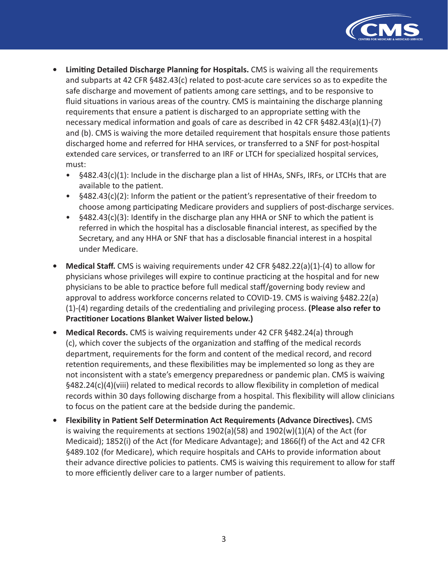

- **• Limiting Detailed Discharge Planning for Hospitals.** CMS is waiving all the requirements and subparts at 42 CFR §482.43(c) related to post-acute care services so as to expedite the safe discharge and movement of patients among care settings, and to be responsive to fluid situations in various areas of the country. CMS is maintaining the discharge planning requirements that ensure a patient is discharged to an appropriate setting with the necessary medical information and goals of care as described in 42 CFR §482.43(a)(1)-(7) and (b). CMS is waiving the more detailed requirement that hospitals ensure those patients discharged home and referred for HHA services, or transferred to a SNF for post-hospital extended care services, or transferred to an IRF or LTCH for specialized hospital services, must:
	- §482.43(c)(1): Include in the discharge plan a list of HHAs, SNFs, IRFs, or LTCHs that are available to the patient.
	- §482.43(c)(2): Inform the patient or the patient's representative of their freedom to choose among participating Medicare providers and suppliers of post-discharge services.
	- §482.43(c)(3): Identify in the discharge plan any HHA or SNF to which the patient is referred in which the hospital has a disclosable financial interest, as specified by the Secretary, and any HHA or SNF that has a disclosable financial interest in a hospital under Medicare.
- **• Medical Staff.** CMS is waiving requirements under 42 CFR §482.22(a)(1)-(4) to allow for physicians whose privileges will expire to continue practicing at the hospital and for new physicians to be able to practice before full medical staff/governing body review and approval to address workforce concerns related to COVID-19. CMS is waiving §482.22(a) (1)-(4) regarding details of the credentialing and privileging process. **(Please also refer to Practitioner Locations Blanket Waiver listed below.)**
- **• Medical Records.** CMS is waiving requirements under 42 CFR §482.24(a) through (c), which cover the subjects of the organization and staffing of the medical records department, requirements for the form and content of the medical record, and record retention requirements, and these flexibilities may be implemented so long as they are not inconsistent with a state's emergency preparedness or pandemic plan. CMS is waiving §482.24(c)(4)(viii) related to medical records to allow flexibility in completion of medical records within 30 days following discharge from a hospital. This flexibility will allow clinicians to focus on the patient care at the bedside during the pandemic.
- **• Flexibility in Patient Self Determination Act Requirements (Advance Directives).** CMS is waiving the requirements at sections 1902(a)(58) and 1902(w)(1)(A) of the Act (for Medicaid); 1852(i) of the Act (for Medicare Advantage); and 1866(f) of the Act and 42 CFR §489.102 (for Medicare), which require hospitals and CAHs to provide information about their advance directive policies to patients. CMS is waiving this requirement to allow for staff to more efficiently deliver care to a larger number of patients.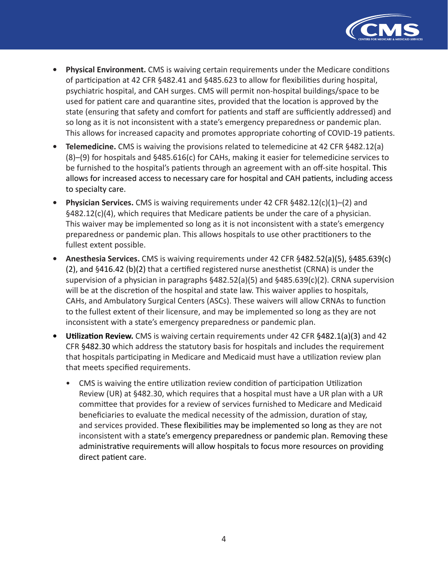

- **Physical Environment.** CMS is waiving certain requirements under the Medicare conditions of participation at 42 CFR §482.41 and §485.623 to allow for flexibilities during hospital, psychiatric hospital, and CAH surges. CMS will permit non-hospital buildings/space to be used for patient care and quarantine sites, provided that the location is approved by the state (ensuring that safety and comfort for patients and staff are sufficiently addressed) and so long as it is not inconsistent with a state's emergency preparedness or pandemic plan. This allows for increased capacity and promotes appropriate cohorting of COVID-19 patients.
- **Telemedicine.** CMS is waiving the provisions related to telemedicine at 42 CFR §482.12(a) (8)–(9) for hospitals and §485.616(c) for CAHs, making it easier for telemedicine services to be furnished to the hospital's patients through an agreement with an off-site hospital. This allows for increased access to necessary care for hospital and CAH patients, including access to specialty care.
- **Physician Services.** CMS is waiving requirements under 42 CFR §482.12(c)(1)–(2) and §482.12(c)(4), which requires that Medicare patients be under the care of a physician. This waiver may be implemented so long as it is not inconsistent with a state's emergency preparedness or pandemic plan. This allows hospitals to use other practitioners to the fullest extent possible.
- **Anesthesia Services.** CMS is waiving requirements under 42 CFR §482.52(a)(5), §485.639(c) (2), and §416.42 (b)(2) that a certified registered nurse anesthetist (CRNA) is under the supervision of a physician in paragraphs §482.52(a)(5) and §485.639(c)(2). CRNA supervision will be at the discretion of the hospital and state law. This waiver applies to hospitals, CAHs, and Ambulatory Surgical Centers (ASCs). These waivers will allow CRNAs to function to the fullest extent of their licensure, and may be implemented so long as they are not inconsistent with a state's emergency preparedness or pandemic plan.
- **Utilization Review.** CMS is waiving certain requirements under 42 CFR §482.1(a)(3) and 42 CFR §482.30 which address the statutory basis for hospitals and includes the requirement that hospitals participating in Medicare and Medicaid must have a utilization review plan that meets specified requirements.
	- CMS is waiving the entire utilization review condition of participation Utilization Review (UR) at §482.30, which requires that a hospital must have a UR plan with a UR committee that provides for a review of services furnished to Medicare and Medicaid beneficiaries to evaluate the medical necessity of the admission, duration of stay, and services provided. These flexibilities may be implemented so long as they are not inconsistent with a state's emergency preparedness or pandemic plan. Removing these administrative requirements will allow hospitals to focus more resources on providing direct patient care.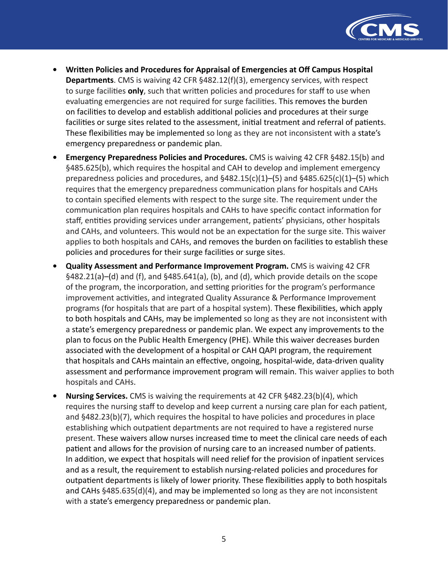

- **Written Policies and Procedures for Appraisal of Emergencies at Off Campus Hospital Departments**. CMS is waiving 42 CFR §482.12(f)(3), emergency services, with respect to surge facilities **only**, such that written policies and procedures for staff to use when evaluating emergencies are not required for surge facilities. This removes the burden on facilities to develop and establish additional policies and procedures at their surge facilities or surge sites related to the assessment, initial treatment and referral of patients. These flexibilities may be implemented so long as they are not inconsistent with a state's emergency preparedness or pandemic plan.
- **Emergency Preparedness Policies and Procedures.** CMS is waiving 42 CFR §482.15(b) and §485.625(b), which requires the hospital and CAH to develop and implement emergency preparedness policies and procedures, and  $§482.15(c)(1)–(5)$  and  $§485.625(c)(1)–(5)$  which requires that the emergency preparedness communication plans for hospitals and CAHs to contain specified elements with respect to the surge site. The requirement under the communication plan requires hospitals and CAHs to have specific contact information for staff, entities providing services under arrangement, patients' physicians, other hospitals and CAHs, and volunteers. This would not be an expectation for the surge site. This waiver applies to both hospitals and CAHs, and removes the burden on facilities to establish these policies and procedures for their surge facilities or surge sites.
- **Quality Assessment and Performance Improvement Program.** CMS is waiving 42 CFR §482.21(a)–(d) and (f), and §485.641(a), (b), and (d), which provide details on the scope of the program, the incorporation, and setting priorities for the program's performance improvement activities, and integrated Quality Assurance & Performance Improvement programs (for hospitals that are part of a hospital system). These flexibilities, which apply to both hospitals and CAHs, may be implemented so long as they are not inconsistent with a state's emergency preparedness or pandemic plan. We expect any improvements to the plan to focus on the Public Health Emergency (PHE). While this waiver decreases burden associated with the development of a hospital or CAH QAPI program, the requirement that hospitals and CAHs maintain an effective, ongoing, hospital-wide, data-driven quality assessment and performance improvement program will remain. This waiver applies to both hospitals and CAHs.
- **Nursing Services.** CMS is waiving the requirements at 42 CFR §482.23(b)(4), which requires the nursing staff to develop and keep current a nursing care plan for each patient, and §482.23(b)(7), which requires the hospital to have policies and procedures in place establishing which outpatient departments are not required to have a registered nurse present. These waivers allow nurses increased time to meet the clinical care needs of each patient and allows for the provision of nursing care to an increased number of patients. In addition, we expect that hospitals will need relief for the provision of inpatient services and as a result, the requirement to establish nursing-related policies and procedures for outpatient departments is likely of lower priority. These flexibilities apply to both hospitals and CAHs §485.635(d)(4), and may be implemented so long as they are not inconsistent with a state's emergency preparedness or pandemic plan.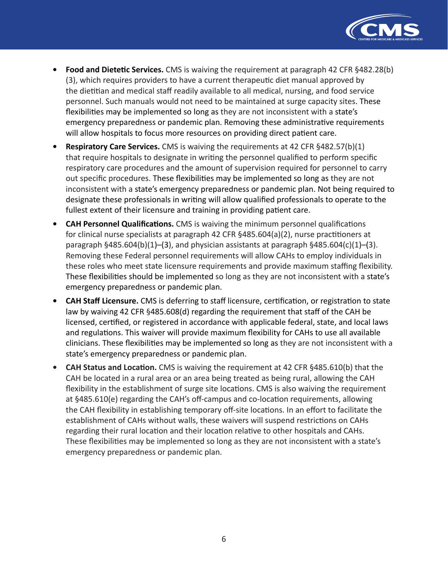

- **• Food and Dietetic Services.** CMS is waiving the requirement at paragraph 42 CFR §482.28(b) (3), which requires providers to have a current therapeutic diet manual approved by the dietitian and medical staff readily available to all medical, nursing, and food service personnel. Such manuals would not need to be maintained at surge capacity sites. These flexibilities may be implemented so long as they are not inconsistent with a state's emergency preparedness or pandemic plan. Removing these administrative requirements will allow hospitals to focus more resources on providing direct patient care.
- **• Respiratory Care Services.** CMS is waiving the requirements at 42 CFR §482.57(b)(1) that require hospitals to designate in writing the personnel qualified to perform specific respiratory care procedures and the amount of supervision required for personnel to carry out specific procedures. These flexibilities may be implemented so long as they are not inconsistent with a state's emergency preparedness or pandemic plan. Not being required to designate these professionals in writing will allow qualified professionals to operate to the fullest extent of their licensure and training in providing patient care.
- **• CAH Personnel Qualifications.** CMS is waiving the minimum personnel qualifications for clinical nurse specialists at paragraph 42 CFR §485.604(a)(2), nurse practitioners at paragraph §485.604(b)(1)–(3), and physician assistants at paragraph §485.604(c)(1)–(3). Removing these Federal personnel requirements will allow CAHs to employ individuals in these roles who meet state licensure requirements and provide maximum staffing flexibility. These flexibilities should be implemented so long as they are not inconsistent with a state's emergency preparedness or pandemic plan.
- **• CAH Staff Licensure.** CMS is deferring to staff licensure, certification, or registration to state law by waiving 42 CFR §485.608(d) regarding the requirement that staff of the CAH be licensed, certified, or registered in accordance with applicable federal, state, and local laws and regulations. This waiver will provide maximum flexibility for CAHs to use all available clinicians. These flexibilities may be implemented so long as they are not inconsistent with a state's emergency preparedness or pandemic plan.
- **• CAH Status and Location.** CMS is waiving the requirement at 42 CFR §485.610(b) that the CAH be located in a rural area or an area being treated as being rural, allowing the CAH flexibility in the establishment of surge site locations. CMS is also waiving the requirement at §485.610(e) regarding the CAH's off-campus and co-location requirements, allowing the CAH flexibility in establishing temporary off-site locations. In an effort to facilitate the establishment of CAHs without walls, these waivers will suspend restrictions on CAHs regarding their rural location and their location relative to other hospitals and CAHs. These flexibilities may be implemented so long as they are not inconsistent with a state's emergency preparedness or pandemic plan.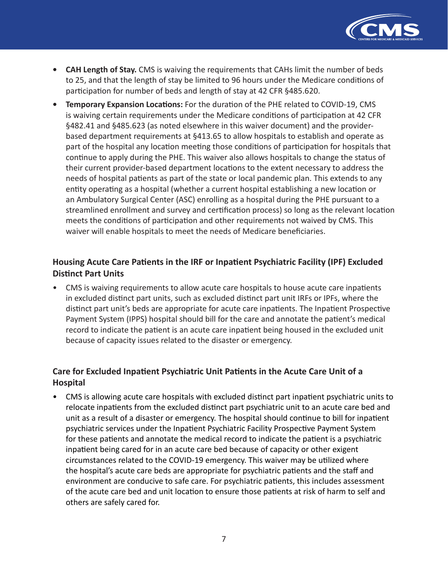

- **CAH Length of Stay.** CMS is waiving the requirements that CAHs limit the number of beds to 25, and that the length of stay be limited to 96 hours under the Medicare conditions of participation for number of beds and length of stay at 42 CFR §485.620.
- **Temporary Expansion Locations:** For the duration of the PHE related to COVID-19, CMS is waiving certain requirements under the Medicare conditions of participation at 42 CFR §482.41 and §485.623 (as noted elsewhere in this waiver document) and the providerbased department requirements at §413.65 to allow hospitals to establish and operate as part of the hospital any location meeting those conditions of participation for hospitals that continue to apply during the PHE. This waiver also allows hospitals to change the status of their current provider-based department locations to the extent necessary to address the needs of hospital patients as part of the state or local pandemic plan. This extends to any entity operating as a hospital (whether a current hospital establishing a new location or an Ambulatory Surgical Center (ASC) enrolling as a hospital during the PHE pursuant to a streamlined enrollment and survey and certification process) so long as the relevant location meets the conditions of participation and other requirements not waived by CMS. This waiver will enable hospitals to meet the needs of Medicare beneficiaries.

# **Housing Acute Care Patients in the IRF or Inpatient Psychiatric Facility (IPF) Excluded Distinct Part Units**

• CMS is waiving requirements to allow acute care hospitals to house acute care inpatients in excluded distinct part units, such as excluded distinct part unit IRFs or IPFs, where the distinct part unit's beds are appropriate for acute care inpatients. The Inpatient Prospective Payment System (IPPS) hospital should bill for the care and annotate the patient's medical record to indicate the patient is an acute care inpatient being housed in the excluded unit because of capacity issues related to the disaster or emergency.

# **Care for Excluded Inpatient Psychiatric Unit Patients in the Acute Care Unit of a Hospital**

• CMS is allowing acute care hospitals with excluded distinct part inpatient psychiatric units to relocate inpatients from the excluded distinct part psychiatric unit to an acute care bed and unit as a result of a disaster or emergency. The hospital should continue to bill for inpatient psychiatric services under the Inpatient Psychiatric Facility Prospective Payment System for these patients and annotate the medical record to indicate the patient is a psychiatric inpatient being cared for in an acute care bed because of capacity or other exigent circumstances related to the COVID-19 emergency. This waiver may be utilized where the hospital's acute care beds are appropriate for psychiatric patients and the staff and environment are conducive to safe care. For psychiatric patients, this includes assessment of the acute care bed and unit location to ensure those patients at risk of harm to self and others are safely cared for.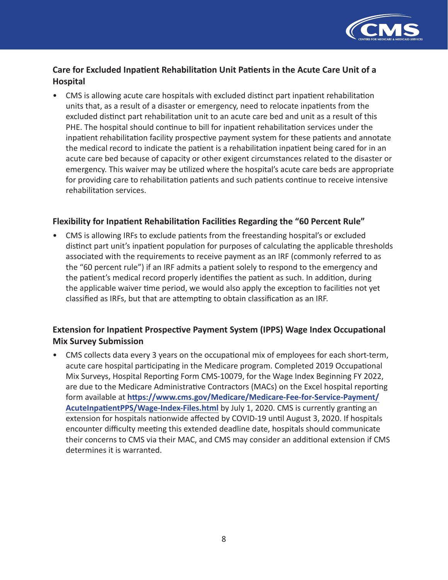

## **Care for Excluded Inpatient Rehabilitation Unit Patients in the Acute Care Unit of a Hospital**

• CMS is allowing acute care hospitals with excluded distinct part inpatient rehabilitation units that, as a result of a disaster or emergency, need to relocate inpatients from the excluded distinct part rehabilitation unit to an acute care bed and unit as a result of this PHE. The hospital should continue to bill for inpatient rehabilitation services under the inpatient rehabilitation facility prospective payment system for these patients and annotate the medical record to indicate the patient is a rehabilitation inpatient being cared for in an acute care bed because of capacity or other exigent circumstances related to the disaster or emergency. This waiver may be utilized where the hospital's acute care beds are appropriate for providing care to rehabilitation patients and such patients continue to receive intensive rehabilitation services.

### **Flexibility for Inpatient Rehabilitation Facilities Regarding the "60 Percent Rule"**

• CMS is allowing IRFs to exclude patients from the freestanding hospital's or excluded distinct part unit's inpatient population for purposes of calculating the applicable thresholds associated with the requirements to receive payment as an IRF (commonly referred to as the "60 percent rule") if an IRF admits a patient solely to respond to the emergency and the patient's medical record properly identifies the patient as such. In addition, during the applicable waiver time period, we would also apply the exception to facilities not yet classified as IRFs, but that are attempting to obtain classification as an IRF.

## **Extension for Inpatient Prospective Payment System (IPPS) Wage Index Occupational Mix Survey Submission**

• CMS collects data every 3 years on the occupational mix of employees for each short-term, acute care hospital participating in the Medicare program. Completed 2019 Occupational Mix Surveys, Hospital Reporting Form CMS-10079, for the Wage Index Beginning FY 2022, are due to the Medicare Administrative Contractors (MACs) on the Excel hospital reporting form available at **[https://www.cms.gov/Medicare/Medicare-Fee-for-Service-Payment/](https://www.cms.gov/Medicare/Medicare-Fee-for-Service-Payment/AcuteInpatientPPS/Wage-Index-Files.html) [AcuteInpatientPPS/Wage-Index-Files.html](https://www.cms.gov/Medicare/Medicare-Fee-for-Service-Payment/AcuteInpatientPPS/Wage-Index-Files.html)** by July 1, 2020. CMS is currently granting an extension for hospitals nationwide affected by COVID-19 until August 3, 2020. If hospitals encounter difficulty meeting this extended deadline date, hospitals should communicate their concerns to CMS via their MAC, and CMS may consider an additional extension if CMS determines it is warranted.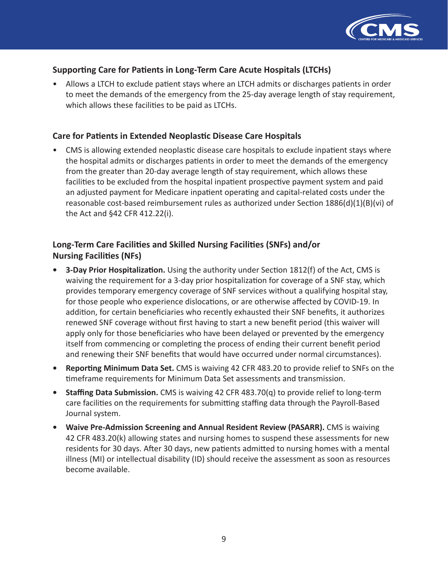

## **Supporting Care for Patients in Long-Term Care Acute Hospitals (LTCHs)**

• Allows a LTCH to exclude patient stays where an LTCH admits or discharges patients in order to meet the demands of the emergency from the 25-day average length of stay requirement, which allows these facilities to be paid as LTCHs.

## **Care for Patients in Extended Neoplastic Disease Care Hospitals**

• CMS is allowing extended neoplastic disease care hospitals to exclude inpatient stays where the hospital admits or discharges patients in order to meet the demands of the emergency from the greater than 20-day average length of stay requirement, which allows these facilities to be excluded from the hospital inpatient prospective payment system and paid an adjusted payment for Medicare inpatient operating and capital-related costs under the reasonable cost-based reimbursement rules as authorized under Section 1886(d)(1)(B)(vi) of the Act and §42 CFR 412.22(i).

## **Long-Term Care Facilities and Skilled Nursing Facilities (SNFs) and/or Nursing Facilities (NFs)**

- **• 3-Day Prior Hospitalization.** Using the authority under Section 1812(f) of the Act, CMS is waiving the requirement for a 3-day prior hospitalization for coverage of a SNF stay, which provides temporary emergency coverage of SNF services without a qualifying hospital stay, for those people who experience dislocations, or are otherwise affected by COVID-19. In addition, for certain beneficiaries who recently exhausted their SNF benefits, it authorizes renewed SNF coverage without first having to start a new benefit period (this waiver will apply only for those beneficiaries who have been delayed or prevented by the emergency itself from commencing or completing the process of ending their current benefit period and renewing their SNF benefits that would have occurred under normal circumstances).
- **• Reporting Minimum Data Set.** CMS is waiving 42 CFR 483.20 to provide relief to SNFs on the timeframe requirements for Minimum Data Set assessments and transmission.
- **• Staffing Data Submission.** CMS is waiving 42 CFR 483.70(q) to provide relief to long-term care facilities on the requirements for submitting staffing data through the Payroll-Based Journal system.
- **• Waive Pre-Admission Screening and Annual Resident Review (PASARR).** CMS is waiving 42 CFR 483.20(k) allowing states and nursing homes to suspend these assessments for new residents for 30 days. After 30 days, new patients admitted to nursing homes with a mental illness (MI) or intellectual disability (ID) should receive the assessment as soon as resources become available.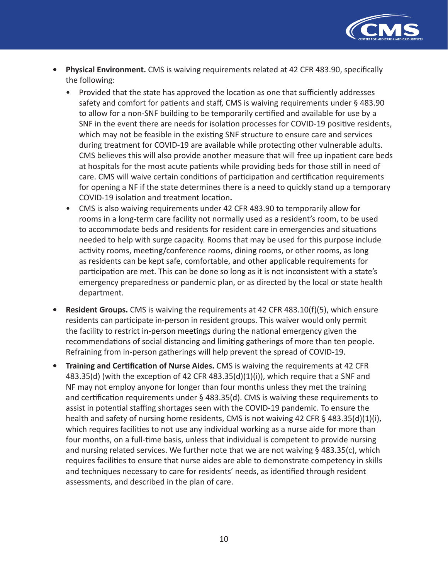

- **• Physical Environment.** CMS is waiving requirements related at 42 CFR 483.90, specifically the following:
	- Provided that the state has approved the location as one that sufficiently addresses safety and comfort for patients and staff, CMS is waiving requirements under § 483.90 to allow for a non-SNF building to be temporarily certified and available for use by a SNF in the event there are needs for isolation processes for COVID-19 positive residents, which may not be feasible in the existing SNF structure to ensure care and services during treatment for COVID-19 are available while protecting other vulnerable adults. CMS believes this will also provide another measure that will free up inpatient care beds at hospitals for the most acute patients while providing beds for those still in need of care. CMS will waive certain conditions of participation and certification requirements for opening a NF if the state determines there is a need to quickly stand up a temporary COVID-19 isolation and treatment location**.**
	- CMS is also waiving requirements under 42 CFR 483.90 to temporarily allow for rooms in a long-term care facility not normally used as a resident's room, to be used to accommodate beds and residents for resident care in emergencies and situations needed to help with surge capacity. Rooms that may be used for this purpose include activity rooms, meeting/conference rooms, dining rooms, or other rooms, as long as residents can be kept safe, comfortable, and other applicable requirements for participation are met. This can be done so long as it is not inconsistent with a state's emergency preparedness or pandemic plan, or as directed by the local or state health department.
- **Resident Groups.** CMS is waiving the requirements at 42 CFR 483.10(f)(5), which ensure residents can participate in-person in resident groups. This waiver would only permit the facility to restrict in-person meetings during the national emergency given the recommendations of social distancing and limiting gatherings of more than ten people. Refraining from in-person gatherings will help prevent the spread of COVID-19.
- **• Training and Certification of Nurse Aides.** CMS is waiving the requirements at 42 CFR  $483.35(d)$  (with the exception of 42 CFR  $483.35(d)(1)(i)$ ), which require that a SNF and NF may not employ anyone for longer than four months unless they met the training and certification requirements under § 483.35(d). CMS is waiving these requirements to assist in potential staffing shortages seen with the COVID-19 pandemic. To ensure the health and safety of nursing home residents, CMS is not waiving 42 CFR § 483.35(d)(1)(i), which requires facilities to not use any individual working as a nurse aide for more than four months, on a full-time basis, unless that individual is competent to provide nursing and nursing related services. We further note that we are not waiving  $\S$  483.35(c), which requires facilities to ensure that nurse aides are able to demonstrate competency in skills and techniques necessary to care for residents' needs, as identified through resident assessments, and described in the plan of care.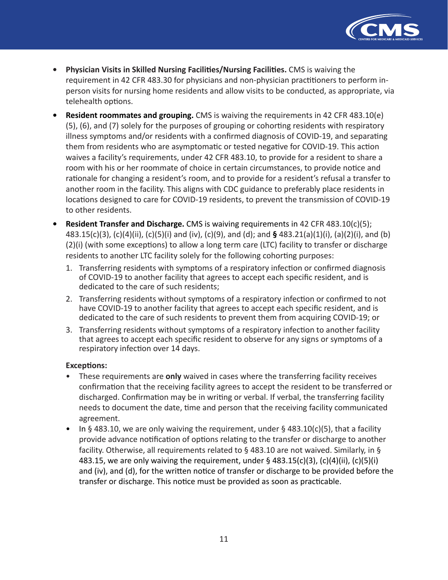

- **Physician Visits in Skilled Nursing Facilities/Nursing Facilities.** CMS is waiving the requirement in 42 CFR 483.30 for physicians and non-physician practitioners to perform inperson visits for nursing home residents and allow visits to be conducted, as appropriate, via telehealth options.
- **Resident roommates and grouping.** CMS is waiving the requirements in 42 CFR 483.10(e) (5), (6), and (7) solely for the purposes of grouping or cohorting residents with respiratory illness symptoms and/or residents with a confirmed diagnosis of COVID-19, and separating them from residents who are asymptomatic or tested negative for COVID-19. This action waives a facility's requirements, under 42 CFR 483.10, to provide for a resident to share a room with his or her roommate of choice in certain circumstances, to provide notice and rationale for changing a resident's room, and to provide for a resident's refusal a transfer to another room in the facility. This aligns with CDC guidance to preferably place residents in locations designed to care for COVID-19 residents, to prevent the transmission of COVID-19 to other residents.
- **Resident Transfer and Discharge.** CMS is waiving requirements in 42 CFR 483.10(c)(5); 483.15(c)(3), (c)(4)(ii), (c)(5)(i) and (iv), (c)(9), and (d); and **§** 483.21(a)(1)(i), (a)(2)(i), and (b) (2)(i) (with some exceptions) to allow a long term care (LTC) facility to transfer or discharge residents to another LTC facility solely for the following cohorting purposes:
	- 1. Transferring residents with symptoms of a respiratory infection or confirmed diagnosis of COVID-19 to another facility that agrees to accept each specific resident, and is dedicated to the care of such residents;
	- 2. Transferring residents without symptoms of a respiratory infection or confirmed to not have COVID-19 to another facility that agrees to accept each specific resident, and is dedicated to the care of such residents to prevent them from acquiring COVID-19; or
	- 3. Transferring residents without symptoms of a respiratory infection to another facility that agrees to accept each specific resident to observe for any signs or symptoms of a respiratory infection over 14 days.

#### **Exceptions:**

- These requirements are **only** waived in cases where the transferring facility receives confirmation that the receiving facility agrees to accept the resident to be transferred or discharged. Confirmation may be in writing or verbal. If verbal, the transferring facility needs to document the date, time and person that the receiving facility communicated agreement.
- In § 483.10, we are only waiving the requirement, under § 483.10(c)(5), that a facility provide advance notification of options relating to the transfer or discharge to another facility. Otherwise, all requirements related to § 483.10 are not waived. Similarly, in § 483.15, we are only waiving the requirement, under  $\S$  483.15(c)(3), (c)(4)(ii), (c)(5)(i) and (iv), and (d), for the written notice of transfer or discharge to be provided before the transfer or discharge. This notice must be provided as soon as practicable.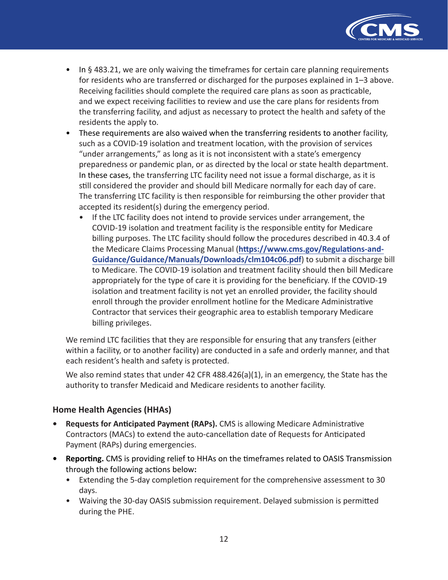

- In § 483.21, we are only waiving the timeframes for certain care planning requirements for residents who are transferred or discharged for the purposes explained in 1–3 above. Receiving facilities should complete the required care plans as soon as practicable, and we expect receiving facilities to review and use the care plans for residents from the transferring facility, and adjust as necessary to protect the health and safety of the residents the apply to.
- These requirements are also waived when the transferring residents to another facility, such as a COVID-19 isolation and treatment location, with the provision of services "under arrangements," as long as it is not inconsistent with a state's emergency preparedness or pandemic plan, or as directed by the local or state health department. In these cases, the transferring LTC facility need not issue a formal discharge, as it is still considered the provider and should bill Medicare normally for each day of care. The transferring LTC facility is then responsible for reimbursing the other provider that accepted its resident(s) during the emergency period.
	- If the LTC facility does not intend to provide services under arrangement, the COVID-19 isolation and treatment facility is the responsible entity for Medicare billing purposes. The LTC facility should follow the procedures described in 40.3.4 of the Medicare Claims Processing Manual (**[https://www.cms.gov/Regulations-and-](https://www.cms.gov/Regulations-and-Guidance/Guidance/Manuals/Downloads/clm104c06.pdf)[Guidance/Guidance/Manuals/Downloads/clm104c06.pdf](https://www.cms.gov/Regulations-and-Guidance/Guidance/Manuals/Downloads/clm104c06.pdf)**) to submit a discharge bill to Medicare. The COVID-19 isolation and treatment facility should then bill Medicare appropriately for the type of care it is providing for the beneficiary. If the COVID-19 isolation and treatment facility is not yet an enrolled provider, the facility should enroll through the provider enrollment hotline for the Medicare Administrative Contractor that services their geographic area to establish temporary Medicare billing privileges.

We remind LTC facilities that they are responsible for ensuring that any transfers (either within a facility, or to another facility) are conducted in a safe and orderly manner, and that each resident's health and safety is protected.

We also remind states that under 42 CFR  $488.426(a)(1)$ , in an emergency, the State has the authority to transfer Medicaid and Medicare residents to another facility.

## **Home Health Agencies (HHAs)**

- **Requests for Anticipated Payment (RAPs).** CMS is allowing Medicare Administrative Contractors (MACs) to extend the auto-cancellation date of Requests for Anticipated Payment (RAPs) during emergencies.
- **Reporting.** CMS is providing relief to HHAs on the timeframes related to OASIS Transmission through the following actions below**:**
	- Extending the 5-day completion requirement for the comprehensive assessment to 30 days.
	- Waiving the 30-day OASIS submission requirement. Delayed submission is permitted during the PHE.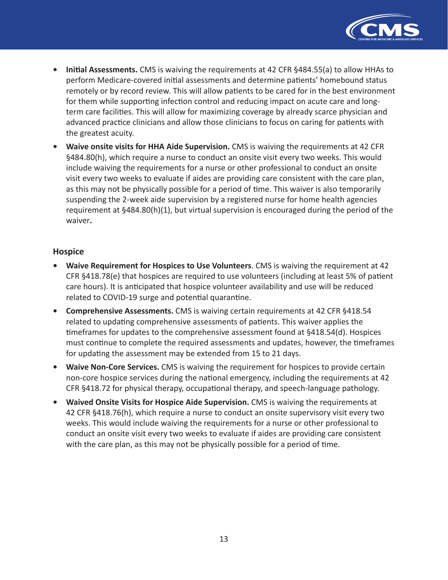

- **• Initial Assessments.** CMS is waiving the requirements at 42 CFR §484.55(a) to allow HHAs to perform Medicare-covered initial assessments and determine patients' homebound status remotely or by record review. This will allow patients to be cared for in the best environment for them while supporting infection control and reducing impact on acute care and longterm care facilities. This will allow for maximizing coverage by already scarce physician and advanced practice clinicians and allow those clinicians to focus on caring for patients with the greatest acuity.
- **• Waive onsite visits for HHA Aide Supervision.** CMS is waiving the requirements at 42 CFR §484.80(h), which require a nurse to conduct an onsite visit every two weeks. This would include waiving the requirements for a nurse or other professional to conduct an onsite visit every two weeks to evaluate if aides are providing care consistent with the care plan, as this may not be physically possible for a period of time. This waiver is also temporarily suspending the 2-week aide supervision by a registered nurse for home health agencies requirement at §484.80(h)(1), but virtual supervision is encouraged during the period of the waiver**.**

### **Hospice**

- **• Waive Requirement for Hospices to Use Volunteers**. CMS is waiving the requirement at 42 CFR §418.78(e) that hospices are required to use volunteers (including at least 5% of patient care hours). It is anticipated that hospice volunteer availability and use will be reduced related to COVID-19 surge and potential quarantine.
- **• Comprehensive Assessments.** CMS is waiving certain requirements at 42 CFR §418.54 related to updating comprehensive assessments of patients. This waiver applies the timeframes for updates to the comprehensive assessment found at §418.54(d). Hospices must continue to complete the required assessments and updates, however, the timeframes for updating the assessment may be extended from 15 to 21 days.
- **• Waive Non-Core Services.** CMS is waiving the requirement for hospices to provide certain non-core hospice services during the national emergency, including the requirements at 42 CFR §418.72 for physical therapy, occupational therapy, and speech-language pathology.
- **• Waived Onsite Visits for Hospice Aide Supervision.** CMS is waiving the requirements at 42 CFR §418.76(h), which require a nurse to conduct an onsite supervisory visit every two weeks. This would include waiving the requirements for a nurse or other professional to conduct an onsite visit every two weeks to evaluate if aides are providing care consistent with the care plan, as this may not be physically possible for a period of time.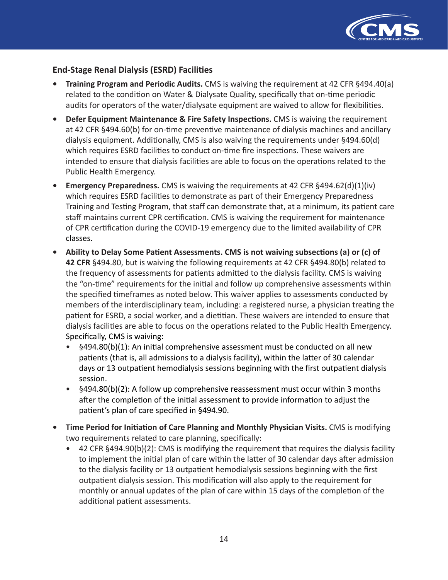

## **End-Stage Renal Dialysis (ESRD) Facilities**

- **Training Program and Periodic Audits.** CMS is waiving the requirement at 42 CFR §494.40(a) related to the condition on Water & Dialysate Quality, specifically that on-time periodic audits for operators of the water/dialysate equipment are waived to allow for flexibilities.
- **Defer Equipment Maintenance & Fire Safety Inspections. CMS is waiving the requirement** at 42 CFR §494.60(b) for on-time preventive maintenance of dialysis machines and ancillary dialysis equipment. Additionally, CMS is also waiving the requirements under §494.60(d) which requires ESRD facilities to conduct on-time fire inspections. These waivers are intended to ensure that dialysis facilities are able to focus on the operations related to the Public Health Emergency.
- **Emergency Preparedness.** CMS is waiving the requirements at 42 CFR §494.62(d)(1)(iv) which requires ESRD facilities to demonstrate as part of their Emergency Preparedness Training and Testing Program, that staff can demonstrate that, at a minimum, its patient care staff maintains current CPR certification. CMS is waiving the requirement for maintenance of CPR certification during the COVID-19 emergency due to the limited availability of CPR classes.
- **Ability to Delay Some Patient Assessments. CMS is not waiving subsections (a) or (c) of 42 CFR** §494.80, but is waiving the following requirements at 42 CFR §494.80(b) related to the frequency of assessments for patients admitted to the dialysis facility. CMS is waiving the "on-time" requirements for the initial and follow up comprehensive assessments within the specified timeframes as noted below. This waiver applies to assessments conducted by members of the interdisciplinary team, including: a registered nurse, a physician treating the patient for ESRD, a social worker, and a dietitian. These waivers are intended to ensure that dialysis facilities are able to focus on the operations related to the Public Health Emergency. Specifically, CMS is waiving:
	- §494.80(b)(1): An initial comprehensive assessment must be conducted on all new patients (that is, all admissions to a dialysis facility), within the latter of 30 calendar days or 13 outpatient hemodialysis sessions beginning with the first outpatient dialysis session.
	- §494.80(b)(2): A follow up comprehensive reassessment must occur within 3 months after the completion of the initial assessment to provide information to adjust the patient's plan of care specified in §494.90.
- **Time Period for Initiation of Care Planning and Monthly Physician Visits.** CMS is modifying two requirements related to care planning, specifically:
	- 42 CFR §494.90(b)(2): CMS is modifying the requirement that requires the dialysis facility to implement the initial plan of care within the latter of 30 calendar days after admission to the dialysis facility or 13 outpatient hemodialysis sessions beginning with the first outpatient dialysis session. This modification will also apply to the requirement for monthly or annual updates of the plan of care within 15 days of the completion of the additional patient assessments.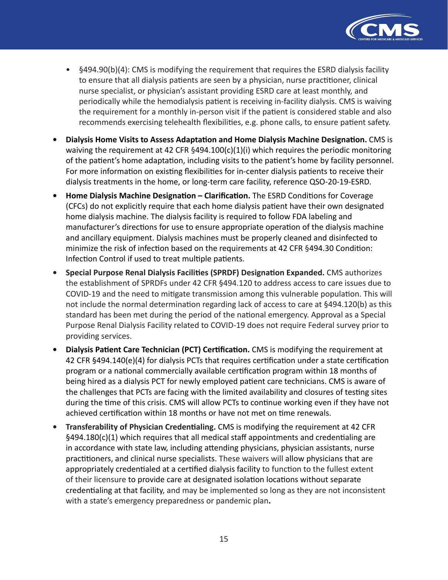

- §494.90(b)(4): CMS is modifying the requirement that requires the ESRD dialysis facility to ensure that all dialysis patients are seen by a physician, nurse practitioner, clinical nurse specialist, or physician's assistant providing ESRD care at least monthly, and periodically while the hemodialysis patient is receiving in-facility dialysis. CMS is waiving the requirement for a monthly in-person visit if the patient is considered stable and also recommends exercising telehealth flexibilities, e.g. phone calls, to ensure patient safety.
- **• Dialysis Home Visits to Assess Adaptation and Home Dialysis Machine Designation.** CMS is waiving the requirement at 42 CFR  $\S 494.100(c)(1)(i)$  which requires the periodic monitoring of the patient's home adaptation, including visits to the patient's home by facility personnel. For more information on existing flexibilities for in-center dialysis patients to receive their dialysis treatments in the home, or long-term care facility, reference QSO-20-19-ESRD.
- **• Home Dialysis Machine Designation Clarification.** The ESRD Conditions for Coverage (CFCs) do not explicitly require that each home dialysis patient have their own designated home dialysis machine. The dialysis facility is required to follow FDA labeling and manufacturer's directions for use to ensure appropriate operation of the dialysis machine and ancillary equipment. Dialysis machines must be properly cleaned and disinfected to minimize the risk of infection based on the requirements at 42 CFR §494.30 Condition: Infection Control if used to treat multiple patients.
- **• Special Purpose Renal Dialysis Facilities (SPRDF) Designation Expanded.** CMS authorizes the establishment of SPRDFs under 42 CFR §494.120 to address access to care issues due to COVID-19 and the need to mitigate transmission among this vulnerable population. This will not include the normal determination regarding lack of access to care at §494.120(b) as this standard has been met during the period of the national emergency. Approval as a Special Purpose Renal Dialysis Facility related to COVID-19 does not require Federal survey prior to providing services.
- **• Dialysis Patient Care Technician (PCT) Certification.** CMS is modifying the requirement at 42 CFR §494.140(e)(4) for dialysis PCTs that requires certification under a state certification program or a national commercially available certification program within 18 months of being hired as a dialysis PCT for newly employed patient care technicians. CMS is aware of the challenges that PCTs are facing with the limited availability and closures of testing sites during the time of this crisis. CMS will allow PCTs to continue working even if they have not achieved certification within 18 months or have not met on time renewals.
- **• Transferability of Physician Credentialing.** CMS is modifying the requirement at 42 CFR §494.180(c)(1) which requires that all medical staff appointments and credentialing are in accordance with state law, including attending physicians, physician assistants, nurse practitioners, and clinical nurse specialists. These waivers will allow physicians that are appropriately credentialed at a certified dialysis facility to function to the fullest extent of their licensure to provide care at designated isolation locations without separate credentialing at that facility, and may be implemented so long as they are not inconsistent with a state's emergency preparedness or pandemic plan**.**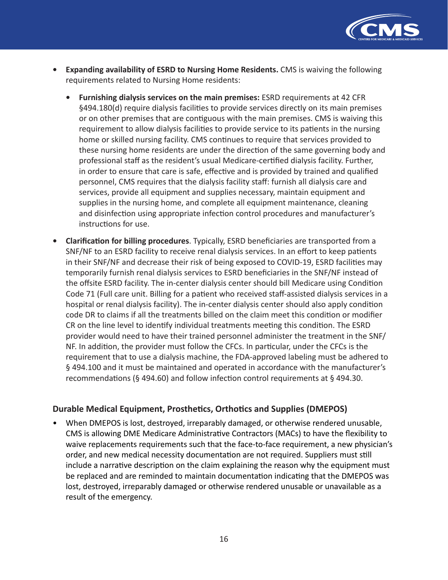

- **Expanding availability of ESRD to Nursing Home Residents.** CMS is waiving the following requirements related to Nursing Home residents:
	- **Furnishing dialysis services on the main premises:** ESRD requirements at 42 CFR §494.180(d) require dialysis facilities to provide services directly on its main premises or on other premises that are contiguous with the main premises. CMS is waiving this requirement to allow dialysis facilities to provide service to its patients in the nursing home or skilled nursing facility. CMS continues to require that services provided to these nursing home residents are under the direction of the same governing body and professional staff as the resident's usual Medicare-certified dialysis facility. Further, in order to ensure that care is safe, effective and is provided by trained and qualified personnel, CMS requires that the dialysis facility staff: furnish all dialysis care and services, provide all equipment and supplies necessary, maintain equipment and supplies in the nursing home, and complete all equipment maintenance, cleaning and disinfection using appropriate infection control procedures and manufacturer's instructions for use.
- **Clarification for billing procedures**. Typically, ESRD beneficiaries are transported from a SNF/NF to an ESRD facility to receive renal dialysis services. In an effort to keep patients in their SNF/NF and decrease their risk of being exposed to COVID-19, ESRD facilities may temporarily furnish renal dialysis services to ESRD beneficiaries in the SNF/NF instead of the offsite ESRD facility. The in-center dialysis center should bill Medicare using Condition Code 71 (Full care unit. Billing for a patient who received staff-assisted dialysis services in a hospital or renal dialysis facility). The in-center dialysis center should also apply condition code DR to claims if all the treatments billed on the claim meet this condition or modifier CR on the line level to identify individual treatments meeting this condition. The ESRD provider would need to have their trained personnel administer the treatment in the SNF/ NF. In addition, the provider must follow the CFCs. In particular, under the CFCs is the requirement that to use a dialysis machine, the FDA-approved labeling must be adhered to § 494.100 and it must be maintained and operated in accordance with the manufacturer's recommendations (§ 494.60) and follow infection control requirements at § 494.30.

## **Durable Medical Equipment, Prosthetics, Orthotics and Supplies (DMEPOS)**

• When DMEPOS is lost, destroyed, irreparably damaged, or otherwise rendered unusable, CMS is allowing DME Medicare Administrative Contractors (MACs) to have the flexibility to waive replacements requirements such that the face-to-face requirement, a new physician's order, and new medical necessity documentation are not required. Suppliers must still include a narrative description on the claim explaining the reason why the equipment must be replaced and are reminded to maintain documentation indicating that the DMEPOS was lost, destroyed, irreparably damaged or otherwise rendered unusable or unavailable as a result of the emergency.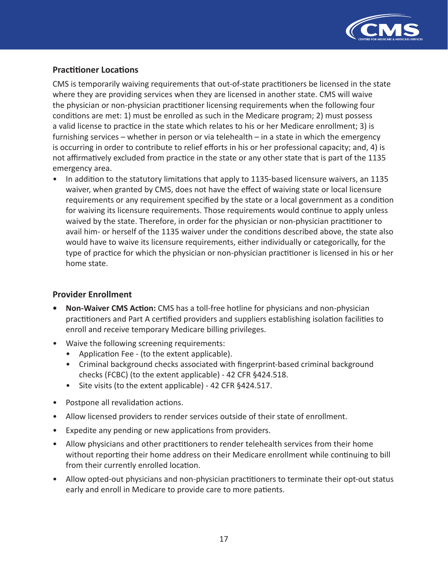

## **Practitioner Locations**

CMS is temporarily waiving requirements that out-of-state practitioners be licensed in the state where they are providing services when they are licensed in another state. CMS will waive the physician or non-physician practitioner licensing requirements when the following four conditions are met: 1) must be enrolled as such in the Medicare program; 2) must possess a valid license to practice in the state which relates to his or her Medicare enrollment; 3) is furnishing services – whether in person or via telehealth – in a state in which the emergency is occurring in order to contribute to relief efforts in his or her professional capacity; and, 4) is not affirmatively excluded from practice in the state or any other state that is part of the 1135 emergency area.

• In addition to the statutory limitations that apply to 1135-based licensure waivers, an 1135 waiver, when granted by CMS, does not have the effect of waiving state or local licensure requirements or any requirement specified by the state or a local government as a condition for waiving its licensure requirements. Those requirements would continue to apply unless waived by the state. Therefore, in order for the physician or non-physician practitioner to avail him- or herself of the 1135 waiver under the conditions described above, the state also would have to waive its licensure requirements, either individually or categorically, for the type of practice for which the physician or non-physician practitioner is licensed in his or her home state.

#### **Provider Enrollment**

- **Non-Waiver CMS Action:** CMS has a toll-free hotline for physicians and non-physician practitioners and Part A certified providers and suppliers establishing isolation facilities to enroll and receive temporary Medicare billing privileges.
- Waive the following screening requirements:
	- Application Fee (to the extent applicable).
	- Criminal background checks associated with fingerprint-based criminal background checks (FCBC) (to the extent applicable) - 42 CFR §424.518.
	- Site visits (to the extent applicable) 42 CFR §424.517.
- Postpone all revalidation actions.
- Allow licensed providers to render services outside of their state of enrollment.
- Expedite any pending or new applications from providers.
- Allow physicians and other practitioners to render telehealth services from their home without reporting their home address on their Medicare enrollment while continuing to bill from their currently enrolled location.
- Allow opted-out physicians and non-physician practitioners to terminate their opt-out status early and enroll in Medicare to provide care to more patients.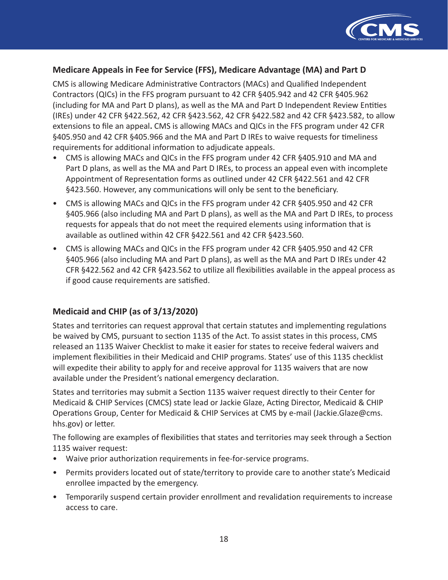

## **Medicare Appeals in Fee for Service (FFS), Medicare Advantage (MA) and Part D**

CMS is allowing Medicare Administrative Contractors (MACs) and Qualified Independent Contractors (QICs) in the FFS program pursuant to 42 CFR §405.942 and 42 CFR §405.962 (including for MA and Part D plans), as well as the MA and Part D Independent Review Entities (IREs) under 42 CFR §422.562, 42 CFR §423.562, 42 CFR §422.582 and 42 CFR §423.582, to allow extensions to file an appeal**.** CMS is allowing MACs and QICs in the FFS program under 42 CFR §405.950 and 42 CFR §405.966 and the MA and Part D IREs to waive requests for timeliness requirements for additional information to adjudicate appeals.

- CMS is allowing MACs and QICs in the FFS program under 42 CFR §405.910 and MA and Part D plans, as well as the MA and Part D IREs, to process an appeal even with incomplete Appointment of Representation forms as outlined under 42 CFR §422.561 and 42 CFR §423.560. However, any communications will only be sent to the beneficiary.
- CMS is allowing MACs and QICs in the FFS program under 42 CFR §405.950 and 42 CFR §405.966 (also including MA and Part D plans), as well as the MA and Part D IREs, to process requests for appeals that do not meet the required elements using information that is available as outlined within 42 CFR §422.561 and 42 CFR §423.560.
- CMS is allowing MACs and QICs in the FFS program under 42 CFR §405.950 and 42 CFR §405.966 (also including MA and Part D plans), as well as the MA and Part D IREs under 42 CFR §422.562 and 42 CFR §423.562 to utilize all flexibilities available in the appeal process as if good cause requirements are satisfied.

## **Medicaid and CHIP (as of 3/13/2020)**

States and territories can request approval that certain statutes and implementing regulations be waived by CMS, pursuant to section 1135 of the Act. To assist states in this process, CMS released an 1135 Waiver Checklist to make it easier for states to receive federal waivers and implement flexibilities in their Medicaid and CHIP programs. States' use of this 1135 checklist will expedite their ability to apply for and receive approval for 1135 waivers that are now available under the President's national emergency declaration.

States and territories may submit a Section 1135 waiver request directly to their Center for Medicaid & CHIP Services (CMCS) state lead or Jackie Glaze, Acting Director, Medicaid & CHIP Operations Group, Center for Medicaid & CHIP Services at CMS by e-mail (Jackie.Glaze@cms. hhs.gov) or letter.

The following are examples of flexibilities that states and territories may seek through a Section 1135 waiver request:

- Waive prior authorization requirements in fee-for-service programs.
- Permits providers located out of state/territory to provide care to another state's Medicaid enrollee impacted by the emergency.
- Temporarily suspend certain provider enrollment and revalidation requirements to increase access to care.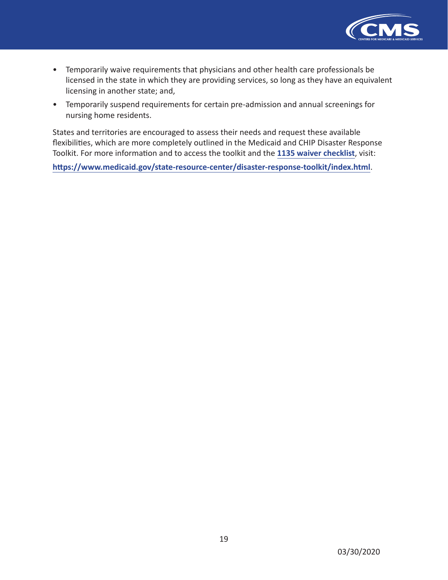

- Temporarily waive requirements that physicians and other health care professionals be licensed in the state in which they are providing services, so long as they have an equivalent licensing in another state; and,
- Temporarily suspend requirements for certain pre-admission and annual screenings for nursing home residents.

States and territories are encouraged to assess their needs and request these available flexibilities, which are more completely outlined in the Medicaid and CHIP Disaster Response Toolkit. For more information and to access the toolkit and the **[1135 waiver checklist](https://www.medicaid.gov/state-resource-center/disaster-response-toolkit/cms-1135-waivers/index.html)**, visit:

**<https://www.medicaid.gov/state-resource-center/disaster-response-toolkit/index.html>**.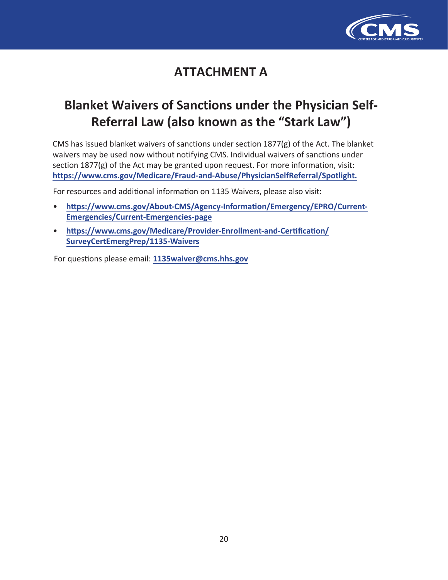

# **ATTACHMENT A**

# **Blanket Waivers of Sanctions under the Physician Self-Referral Law (also known as the "Stark Law")**

[CMS has issued blanket waivers of sanctions under section 1877\(g\) of the Act. The bl](https://www.cms.gov/Medicare/Fraud-and-Abuse/PhysicianSelfReferral/Spotlight)anket waivers may be used now without notifying CMS. Individual waivers of sanctions under sec[tion 1877\(g\) of the Act may be granted upon request. For more information, visit:](https://www.cms.gov/About-CMS/Agency-Information/Emergency/EPRO/Current-Emergencies/Current-Emergencies-page)  **htt[ps://www.cms.gov/Medicare/Fraud-and](https://www.cms.gov/About-CMS/Agency-Information/Emergency/EPRO/Current-Emergencies/Current-Emergencies-page)-Abuse/PhysicianSelfReferral/Spotlight.**

For [resources and additional information on 1135 Waivers, please also visit:](https://www.cms.gov/Medicare/Provider-Enrollment-and-Certification/SurveyCertEmergPrep/1135-Waivers)

- **[https://www.cms.gov/About-CMS/A](https://www.cms.gov/Medicare/Provider-Enrollment-and-Certification/SurveyCertEmergPrep/1135-Waivers)gency-Information/Emergency/EPRO/Current-Emergencies/Current-E[mergencies-page](mailto:1135waiver@cms.hhs.gov)**
- **https://www.cms.gov/Medicare/Provider-Enrollment-and-Certification/ SurveyCertEmergPrep/1135-Waivers**

For questions please email: **1135waiver@cms.hhs.gov**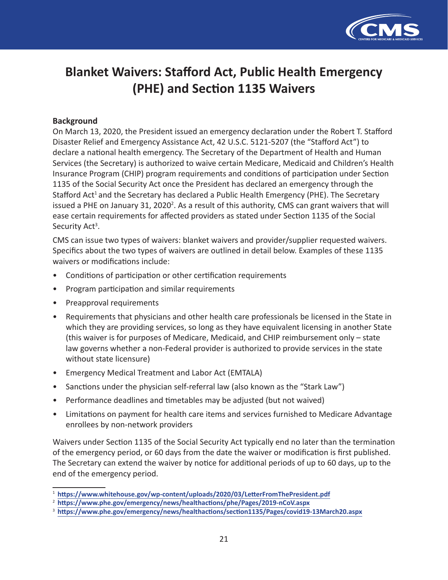

# **Blanket Waivers: Stafford Act, Public Health Emergency (PHE) and Section 1135 Waivers**

### **Background**

On March 13, 2020, the President issued an emergency declaration under the Robert T. Stafford Disaster Relief and Emergency Assistance Act, 42 U.S.C. 5121-5207 (the "Stafford Act") to declare a national health emergency. The Secretary of the Department of Health and Human Services (the Secretary) is authorized to waive certain Medicare, Medicaid and Children's Health Insurance Program (CHIP) program requirements and conditions of participation under Section 1135 of the Social Security Act once the President has declared an emergency through the Stafford Act<sup>1</sup> and the Secretary has declared a Public Health Emergency (PHE). The Secretary issued a PHE on January 31, 2020<sup>2</sup>. As a result of this authority, CMS can grant waivers that will ease certain requirements for affected providers as stated under Section 1135 of the Social Security Act<sup>3</sup>.

CMS can issue two types of waivers: blanket waivers and provider/supplier requested waivers. Specifics about the two types of waivers are outlined in detail below. Examples of these 1135 waivers or modifications include:

- Conditions of participation or other certification requirements
- Program participation and similar requirements
- Preapproval requirements
- Requirements that physicians and other health care professionals be licensed in the State in which they are providing services, so long as they have equivalent licensing in another State (this waiver is for purposes of Medicare, Medicaid, and CHIP reimbursement only – state law governs whether a non-Federal provider is authorized to provide services in the state without state licensure)
- Emergency Medical Treatment and Labor Act (EMTALA)
- Sanctions under the physician self-referral law (also known as the "Stark Law")
- Performance deadlines and timetables may be adjusted (but not waived)
- Limitations on payment for health care items and services furnished to Medicare Advantage enrollees by non-network providers

Waivers under Section 1135 of the Social Security Act typically end no later than the termination of the emergency period, or 60 days from the date the waiver or modification is first published. The Secretary can extend the waiver by notice for additional periods of up to 60 days, up to the end of the emergency period.

<sup>1</sup> **<https://www.whitehouse.gov/wp-content/uploads/2020/03/LetterFromThePresident.pdf>**

<sup>2</sup> **<https://www.phe.gov/emergency/news/healthactions/phe/Pages/2019-nCoV.aspx>**

<sup>3</sup> **<https://www.phe.gov/emergency/news/healthactions/section1135/Pages/covid19-13March20.aspx>**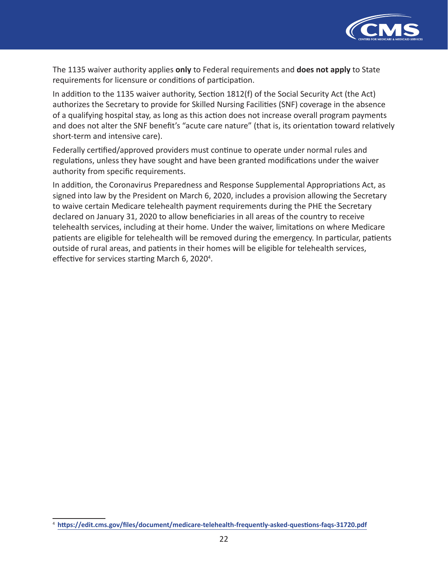

The 1135 waiver authority applies **only** to Federal requirements and **does not apply** to State requirements for licensure or conditions of participation.

In addition to the 1135 waiver authority, Section 1812(f) of the Social Security Act (the Act) authorizes the Secretary to provide for Skilled Nursing Facilities (SNF) coverage in the absence of a qualifying hospital stay, as long as this action does not increase overall program payments and does not alter the SNF benefit's "acute care nature" (that is, its orientation toward relatively short-term and intensive care).

Federally certified/approved providers must continue to operate under normal rules and regulations, unless they have sought and have been granted modifications under the waiver authority from specific requirements.

In addition, the Coronavirus Preparedness and Response Supplemental Appropriations Act, as signed into law by the President on March 6, 2020, includes a provision allowing the Secretary to waive certain Medicare telehealth payment requirements during the PHE the Secretary declared on January 31, 2020 to allow beneficiaries in all areas of the country to receive telehealth services, including at their home. Under the waiver, limitations on where Medicare patients are eligible for telehealth will be removed during the emergency. In particular, patients outside of rural areas, and patients in their homes will be eligible for telehealth services, effective for services starting March 6, 2020<sup>4</sup>.

<sup>4</sup> **<https://edit.cms.gov/files/document/medicare-telehealth-frequently-asked-questions-faqs-31720.pdf>**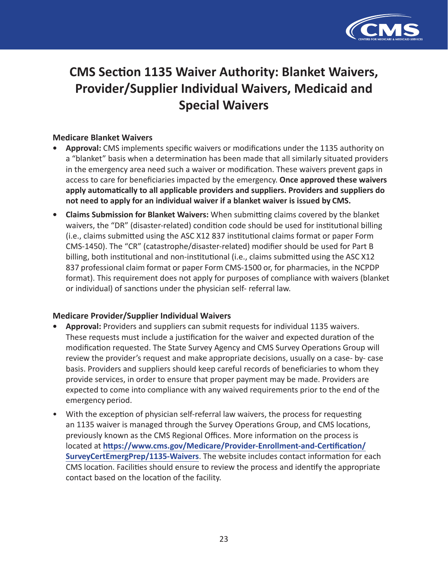

# **CMS Section 1135 Waiver Authority: Blanket Waivers, Provider/Supplier Individual Waivers, Medicaid and Special Waivers**

## **Medicare Blanket Waivers**

- **• Approval:** CMS implements specific waivers or modifications under the 1135 authority on a "blanket" basis when a determination has been made that all similarly situated providers in the emergency area need such a waiver or modification. These waivers prevent gaps in access to care for beneficiaries impacted by the emergency. **Once approved these waivers apply automatically to all applicable providers and suppliers. Providers and suppliers do not need to apply for an individual waiver if a blanket waiver is issued by CMS.**
- **• Claims Submission for Blanket Waivers:** When submitting claims covered by the blanket waivers, the "DR" (disaster-related) condition code should be used for institutional billing (i.e., claims submitted using the ASC X12 837 institutional claims format or paper Form CMS-1450). The "CR" (catastrophe/disaster-related) modifier should be used for Part B billing, both institutional and non-institutional (i.e., claims submitted using the ASC X12 837 professional claim format or paper Form CMS-1500 or, for pharmacies, in the NCPDP format). This requirement does not apply for purposes of compliance with waivers (blanket or individual) of sanctions under the physician self- referral law.

#### **Medicare Provider/Supplier Individual Waivers**

- **• Approval:** Providers and suppliers can submit requests for individual 1135 waivers. These requests must include a justification for the waiver and expected duration of the modification requested. The State Survey Agency and CMS Survey Operations Group will review the provider's request and make appropriate decisions, usually on a case- by- case basis. Providers and suppliers should keep careful records of beneficiaries to whom they provide services, in order to ensure that proper payment may be made. Providers are expected to come into compliance with any waived requirements prior to the end of the emergency period.
- With the exception of physician self-referral law waivers, the process for requesting an 1135 waiver is managed through the Survey Operations Group, and CMS locations, previously known as the CMS Regional Offices. More information on the process is located at **[https://www.cms.gov/Medicare/Provider-Enrollment-and-Certification/](https://www.cms.gov/Medicare/Provider-Enrollment-and-Certification/SurveyCertEmergPrep/1135-Waivers) [SurveyCertEmergPrep/1135-Waivers](https://www.cms.gov/Medicare/Provider-Enrollment-and-Certification/SurveyCertEmergPrep/1135-Waivers)**. The website includes contact information for each CMS location. Facilities should ensure to review the process and identify the appropriate contact based on the location of the facility.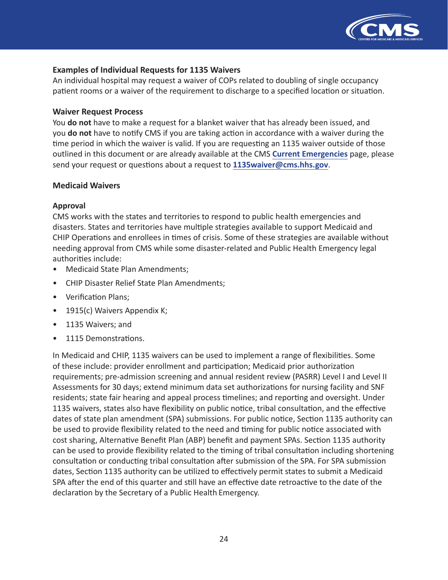

#### **Examples of Individual Requests for 1135 Waivers**

An individual hospital may request a waiver of COPs related to doubling of single occupancy patient rooms or a waiver of the requirement to discharge to a specified location or situation.

#### **Waiver Request Process**

You **do not** have to make a request for a blanket waiver that has already been issued, and you **do not** have to notify CMS if you are taking action in accordance with a waiver during the time period in which the waiver is valid. If you are requesting an 1135 waiver outside of those outlined in this document or are already available at the CMS **[Current Emergencies](https://www.cms.gov/About-CMS/Agency-Information/Emergency/EPRO/Current-Emergencies/Current-Emergencies-page)** page, please send your request or questions about a request to **[1135waiver@cms.hhs.gov](mailto:1135waiver@cms.hhs.gov)**.

#### **Medicaid Waivers**

#### **Approval**

CMS works with the states and territories to respond to public health emergencies and disasters. States and territories have multiple strategies available to support Medicaid and CHIP Operations and enrollees in times of crisis. Some of these strategies are available without needing approval from CMS while some disaster-related and Public Health Emergency legal authorities include:

- Medicaid State Plan Amendments;
- CHIP Disaster Relief State Plan Amendments;
- Verification Plans;
- 1915(c) Waivers Appendix K;
- 1135 Waivers; and
- 1115 Demonstrations.

In Medicaid and CHIP, 1135 waivers can be used to implement a range of flexibilities. Some of these include: provider enrollment and participation; Medicaid prior authorization requirements; pre-admission screening and annual resident review (PASRR) Level I and Level II Assessments for 30 days; extend minimum data set authorizations for nursing facility and SNF residents; state fair hearing and appeal process timelines; and reporting and oversight. Under 1135 waivers, states also have flexibility on public notice, tribal consultation, and the effective dates of state plan amendment (SPA) submissions. For public notice, Section 1135 authority can be used to provide flexibility related to the need and timing for public notice associated with cost sharing, Alternative Benefit Plan (ABP) benefit and payment SPAs. Section 1135 authority can be used to provide flexibility related to the timing of tribal consultation including shortening consultation or conducting tribal consultation after submission of the SPA. For SPA submission dates, Section 1135 authority can be utilized to effectively permit states to submit a Medicaid SPA after the end of this quarter and still have an effective date retroactive to the date of the declaration by the Secretary of a Public Health Emergency.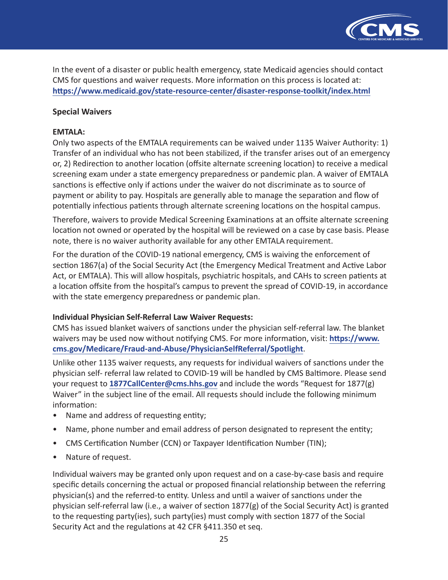

In the event of a disaster or public health emergency, state Medicaid agencies should contact CMS for questions and waiver requests. More information on this process is located at: **<https://www.medicaid.gov/state-resource-center/disaster-response-toolkit/index.html>**

### **Special Waivers**

### **EMTALA:**

Only two aspects of the EMTALA requirements can be waived under 1135 Waiver Authority: 1) Transfer of an individual who has not been stabilized, if the transfer arises out of an emergency or, 2) Redirection to another location (offsite alternate screening location) to receive a medical screening exam under a state emergency preparedness or pandemic plan. A waiver of EMTALA sanctions is effective only if actions under the waiver do not discriminate as to source of payment or ability to pay. Hospitals are generally able to manage the separation and flow of potentially infectious patients through alternate screening locations on the hospital campus.

Therefore, waivers to provide Medical Screening Examinations at an offsite alternate screening location not owned or operated by the hospital will be reviewed on a case by case basis. Please note, there is no waiver authority available for any other EMTALA requirement.

For the duration of the COVID-19 national emergency, CMS is waiving the enforcement of section 1867(a) of the Social Security Act (the Emergency Medical Treatment and Active Labor Act, or EMTALA). This will allow hospitals, psychiatric hospitals, and CAHs to screen patients at a location offsite from the hospital's campus to prevent the spread of COVID-19, in accordance with the state emergency preparedness or pandemic plan.

#### **Individual Physician Self-Referral Law Waiver Requests:**

CMS has issued blanket waivers of sanctions under the physician self-referral law. The blanket waivers may be used now without notifying CMS. For more information, visit: **[https://www.](https://www.cms.gov/Medicare/Fraud-and-Abuse/PhysicianSelfReferral/Spotlight) [cms.gov/Medicare/Fraud-and-Abuse/PhysicianSelfReferral/Spotlight](https://www.cms.gov/Medicare/Fraud-and-Abuse/PhysicianSelfReferral/Spotlight)**.

Unlike other 1135 waiver requests, any requests for individual waivers of sanctions under the physician self- referral law related to COVID-19 will be handled by CMS Baltimore. Please send your request to **[1877CallCenter@cms.hhs.gov](mailto:1877CallCenter@cms.hhs.gov)** and include the words "Request for 1877(g) Waiver" in the subject line of the email. All requests should include the following minimum information:

- Name and address of requesting entity;
- Name, phone number and email address of person designated to represent the entity;
- CMS Certification Number (CCN) or Taxpayer Identification Number (TIN);
- Nature of request.

Individual waivers may be granted only upon request and on a case-by-case basis and require specific details concerning the actual or proposed financial relationship between the referring physician(s) and the referred-to entity. Unless and until a waiver of sanctions under the physician self-referral law (i.e., a waiver of section 1877(g) of the Social Security Act) is granted to the requesting party(ies), such party(ies) must comply with section 1877 of the Social Security Act and the regulations at 42 CFR §411.350 et seq.